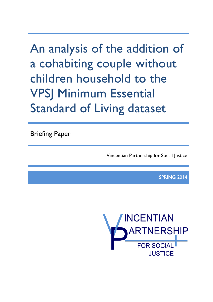An analysis of the addition of a cohabiting couple without children household to the VPSJ Minimum Essential Standard of Living dataset

Briefing Paper

Vincentian Partnership for Social Justice

SPRING 2014

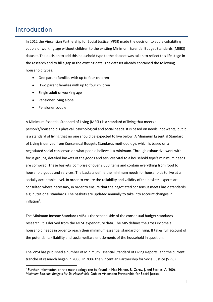## Introduction

1

In 2012 the Vincentian Partnership for Social Justice (VPSJ) made the decision to add a cohabiting couple of working age without children to the existing Minimum Essential Budget Standards (MEBS) dataset. The decision to add this household type to the dataset was taken to reflect this life stage in the research and to fill a gap in the existing data. The dataset already contained the following household types:

- One parent families with up to four children
- Two parent families with up to four children
- Single adult of working age
- Pensioner living alone
- Pensioner couple

A Minimum Essential Standard of Living (MESL) is a standard of living that meets a person's/household's physical, psychological and social needs. It is based on needs, not wants, but it is a standard of living that no one should be expected to live below. A Minimum Essential Standard of Living is derived from Consensual Budgets Standards methodology, which is based on a negotiated social consensus on what people believe is a minimum. Through exhaustive work with focus groups, detailed baskets of the goods and services vital to a household type's minimum needs are compiled. These baskets comprise of over 2,000 items and contain everything from food to household goods and services. The baskets define the minimum needs for households to live at a socially acceptable level. In order to ensure the reliability and validity of the baskets experts are consulted where necessary, in order to ensure that the negotiated consensus meets basic standards e.g. nutritional standards. The baskets are updated annually to take into account changes in inflation $^1$ .

The Minimum Income Standard (MIS) is the second side of the consensual budget standards research. It is derived from the MESL expenditure data. The MIS defines the gross income a household needs in order to reach their minimum essential standard of living. It takes full account of the potential tax liability and social welfare entitlements of the household in question.

The VPSJ has published a number of Minimum Essential Standard of Living Reports, and the current tranche of research began in 2006. In 2006 the Vincentian Partnership for Social Justice (VPSJ)

<sup>1</sup> Further information on the methodology can be found in Mac Mahon, B. Carey, J. and Stokes, A. 2006. *Minimum Essential Budgets for Six Households.* Dublin: Vincentian Partnership for Social Justice.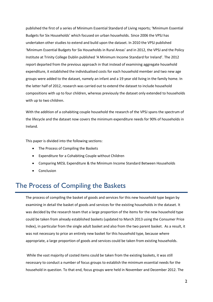published the first of a series of Minimum Essential Standard of Living reports; 'Minimum Essential Budgets for Six Households' which focused on urban households. Since 2006 the VPSJ has undertaken other studies to extend and build upon the dataset. In 2010 the VPSJ published 'Minimum Essential Budgets for Six Households in Rural Areas' and in 2012, the VPSJ and the Policy Institute at Trinity College Dublin published 'A Minimum Income Standard for Ireland'. The 2012 report departed from the previous approach in that instead of examining aggregate household expenditure, it established the individualised costs for each household member and two new age groups were added to the dataset, namely an infant and a 19 year old living in the family home. In the latter half of 2012, research was carried out to extend the dataset to include household compositions with up to four children, whereas previously the dataset only extended to households with up to two children.

With the addition of a cohabiting couple household the research of the VPSJ spans the spectrum of the lifecycle and the dataset now covers the minimum expenditure needs for 90% of households in Ireland.

This paper is divided into the following sections:

- The Process of Compiling the Baskets
- Expenditure for a Cohabiting Couple without Children
- Comparing MESL Expenditure & the Minimum Income Standard Between Households
- Conclusion

# The Process of Compiling the Baskets

The process of compiling the basket of goods and services for this new household type began by examining in detail the basket of goods and services for the existing households in the dataset. It was decided by the research team that a large proportion of the items for the new household type could be taken from already established baskets (updated to March 2013 using the Consumer Price Index), in particular from the single adult basket and also from the two parent basket. As a result, it was not necessary to price an entirely new basket for this household type, because where appropriate, a large proportion of goods and services could be taken from existing households.

While the vast majority of costed items could be taken from the existing baskets, it was still necessary to conduct a number of focus groups to establish the minimum essential needs for the household in question. To that end, focus groups were held in November and December 2012. The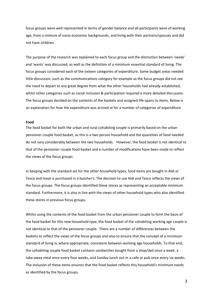focus groups were well represented in terms of gender balance and all participants were of working age, from a mixture of socio-economic backgrounds, and living with their partners/spouses and did not have children.

The purpose of the research was explained to each focus group and the distinction between 'needs' and 'wants' was discussed, as well as the definition of a minimum essential standard of living. The focus groups considered each of the sixteen categories of expenditure. Some budget areas needed little discussion, such as the communications category for example as the focus groups did not see the need to depart to any great degree from what the other households had already established, whilst other categories such as social inclusion & participation required a more detailed discussion. The focus groups decided on the contents of the baskets and assigned life-spans to items. Below is an explanation for how the expenditure was arrived at for a number of categories of expenditure.

#### **Food**

The food basket for both the urban and rural cohabiting couple is primarily based on the urban pensioner couple food basket, as this is a two person household and the quantities of food needed do not vary considerably between the two households. However, the food basket is not identical to that of the pensioner couple food basket and a number of modifications have been made to reflect the views of the focus groups.

In keeping with the standard set for the other household types, food items are bought in Aldi or Tesco and meat is purchased in a butcher's. The decision to use Aldi and Tesco reflects the views of the focus groups. The focus groups identified these stores as representing an acceptable minimum standard. Furthermore, it is also in line with the views of other household types who also identified these stores in previous focus groups.

Whilst using the contents of the food basket from the urban pensioner couple to form the basis of the food basket for this new household type, the food basket of the cohabiting working age couple is not identical to that of the pensioner couple. There are a number of differences between the baskets to reflect the views of the focus groups and also to ensure that the concept of a minimum standard of living is, where appropriate, consistent between working age households. To that end, the cohabiting couple food basket contains sandwiches bought from a shop/deli once a week, a take-away meal once every four weeks, and Sunday lunch out in a cafe or pub once every six weeks. The inclusion of these items ensures that the food basket reflects this household's minimum needs as identified by the focus groups.

3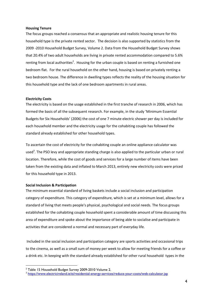#### **Housing Tenure**

The focus groups reached a consensus that an appropriate and realistic housing tenure for this household type is the private rented sector. The decision is also supported by statistics from the 2009 -2010 Household Budget Survey, Volume 2. Data from the Household Budget Survey shows that 20.4% of two adult households are living in private rented accommodation compared to 5.6% renting from local authorities<sup>2</sup>. Housing for the urban couple is based on renting a furnished one bedroom flat. For the rural household on the other hand, housing is based on privately renting a two bedroom house. The difference in dwelling types reflects the reality of the housing situation for this household type and the lack of one bedroom apartments in rural areas.

#### **Electricity Costs**

The electricity is based on the usage established in the first tranche of research in 2006, which has formed the basis of all the subsequent research. For example, in the study 'Minimum Essential Budgets for Six Households' (2006) the cost of one 7 minute electric shower per day is included for each household member and the electricity usage for the cohabiting couple has followed the standard already established for other household types.

To ascertain the cost of electricity for the cohabiting couple an online appliance calculator was used<sup>3</sup>. The PSO levy and appropriate standing charge is also applied to the particular urban or rural location. Therefore, while the cost of goods and services for a large number of items have been taken from the existing data and inflated to March 2013, entirely new electricity costs were priced for this household type in 2013.

#### **Social Inclusion & Participation**

1

The minimum essential standard of living baskets include a social inclusion and participation category of expenditure. This category of expenditure, which is set at a minimum level, allows for a standard of living that meets people's physical, psychological and social needs. The focus groups established for the cohabiting couple household spent a considerable amount of time discussing this area of expenditure and spoke about the importance of being able to socialise and participate in activities that are considered a normal and necessary part of everyday life.

Included in the social inclusion and participation category are sports activities and occasional trips to the cinema, as well as a small sum of money per week to allow for meeting friends for a coffee or a drink etc. In keeping with the standard already established for other rural household types in the

<sup>2</sup> Table 15 Household Budget Survey 2009-2010 Volume 2.

<sup>&</sup>lt;sup>3</sup> <https://www.electricireland.ie/ei/residential-energy-services/reduce-your-costs/web-calculator.jsp>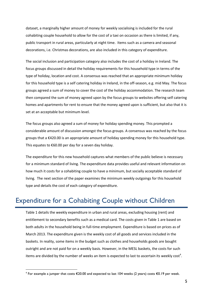dataset, a marginally higher amount of money for weekly socialising is included for the rural cohabiting couple household to allow for the cost of a taxi on occasion as there is limited, if any, public transport in rural areas, particularly at night time. Items such as a camera and seasonal decorations, i.e. Christmas decorations, are also included in this category of expenditure.

The social inclusion and participation category also includes the cost of a holiday in Ireland. The focus groups discussed in detail the holiday requirements for this household type in terms of the type of holiday, location and cost. A consensus was reached that an appropriate minimum holiday for this household type is a self catering holiday in Ireland, in the off-season, e.g. mid May. The focus groups agreed a sum of money to cover the cost of the holiday accommodation. The research team then compared the sum of money agreed upon by the focus groups to websites offering self catering homes and apartments for rent to ensure that the money agreed upon is sufficient, but also that it is set at an acceptable but minimum level.

The focus groups also agreed a sum of money for holiday spending money. This prompted a considerable amount of discussion amongst the focus groups. A consensus was reached by the focus groups that a €420.00 is an appropriate amount of holiday spending money for this household type. This equates to €60.00 per day for a seven day holiday.

The expenditure for this new household captures what members of the public believe is necessary for a minimum standard of living. The expenditure data provides useful and relevant information on how much it costs for a cohabiting couple to have a minimum, but socially acceptable standard of living. The next section of the paper examines the minimum weekly outgoings for this household type and details the cost of each category of expenditure.

# Expenditure for a Cohabiting Couple without Children

Table 1 details the weekly expenditure in urban and rural areas, excluding housing (rent) and entitlement to secondary benefits such as a medical card. The costs given in Table 1 are based on both adults in the household being in full-time employment. Expenditure is based on prices as of March 2013. The expenditure given is the weekly cost of all goods and services included in the baskets. In reality, some items in the budget such as clothes and households goods are bought outright and are not paid for on a weekly basis. However, in the MESL baskets, the costs for such items are divided by the number of weeks an item is expected to last to ascertain its weekly cost<sup>4</sup>.

<u>.</u>

<sup>&</sup>lt;sup>4</sup> For example a jumper that costs €20.00 and expected to last 104 weeks (2 years) costs €0.19 per week.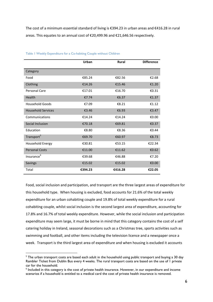The cost of a minimum essential standard of living is €394.23 in urban areas and €416.28 in rural areas. This equates to an annual cost of €20,499.96 and €21,646.56 respectively.

|                           | Urban   | Rural   | <b>Difference</b> |
|---------------------------|---------|---------|-------------------|
| Category                  |         |         |                   |
| Food                      | €85.24  | €82.56  | €2.68             |
| Clothing                  | €14.26  | €15.46  | €1.20             |
| <b>Personal Care</b>      | €17.01  | €16.70  | €0.31             |
| Health                    | €7.74   | €6.37   | €1.37             |
| Household Goods           | €7.09   | €8.21   | €1.12             |
| <b>Household Services</b> | €3.46   | €6.93   | €3.47             |
| Communications            | €14.24  | €14.24  | €0.00             |
| Social Inclusion          | €70.18  | €69.81  | €0.37             |
| Education                 | €8.80   | €8.36   | €0.44             |
| Transport <sup>5</sup>    | €69.70  | €60.97  | €8.73             |
| Household Energy          | €30.81  | €53.15  | €22.34            |
| <b>Personal Costs</b>     | €11.00  | €11.62  | €0.62             |
| Insurance <sup>6</sup>    | €39.68  | €46.88  | €7.20             |
| <b>Savings</b>            | €15.02  | €15.02  | €0.00             |
| Total                     | €394.23 | €416.28 | €22.05            |

#### Table 1 Weekly Expenditure for a Co-habiting Couple without Children

Food, social inclusion and participation, and transport are the three largest areas of expenditure for this household type. When housing is excluded, food accounts for 21.6% of the total weekly expenditure for an urban cohabiting couple and 19.8% of total weekly expenditure for a rural cohabiting couple, whilst social inclusion is the second largest area of expenditure, accounting for 17.8% and 16.7% of total weekly expenditure. However, while the social inclusion and participation expenditure may seem large, it must be borne in mind that this category contains the cost of a self catering holiday in Ireland, seasonal decorations such as a Christmas tree, sports activities such as swimming and football, and other items including the television licence and a newspaper once a week. Transport is the third largest area of expenditure and when housing is excluded it accounts

1

 $5$  The urban transport costs are based each adult in the household using public transport and buying a 30 day Rambler Ticket from Dublin Bus every 4 weeks. The rural transport costs are based on the use of 1 private car for the household.

<sup>6</sup> Included in this category is the cost of private health insurance. However, in our expenditure and income scenarios if a household is entitled to a medical card the cost of private health insurance is removed.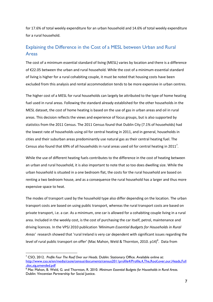for 17.6% of total weekly expenditure for an urban household and 14.6% of total weekly expenditure for a rural household.

## Explaining the Difference in the Cost of a MESL between Urban and Rural Areas

The cost of a minimum essential standard of living (MESL) varies by location and there is a difference of €22.05 between the urban and rural household. While the cost of a minimum essential standard of living is higher for a rural cohabiting couple, it must be noted that housing costs have been excluded from this analysis and rental accommodation tends to be more expensive in urban centres.

The higher cost of a MESL for rural households can largely be attributed to the type of home heating fuel used in rural areas. Following the standard already established for the other households in the MESL dataset, the cost of home heating is based on the use of gas in urban areas and oil in rural areas. This decision reflects the views and experience of focus groups, but is also supported by statistics from the 2011 Census. The 2011 Census found that Dublin City (7.1% of households) had the lowest rate of households using oil for central heating in 2011, and in general, households in cities and their suburban areas predominantly use natural gas as their central heating fuel. The Census also found that 69% of all households in rural areas used oil for central heating in 2011<sup>7</sup>.

While the use of different heating fuels contributes to the difference in the cost of heating between an urban and rural household, it is also important to note that so too does dwelling size. While the urban household is situated in a one bedroom flat, the costs for the rural household are based on renting a two bedroom house, and as a consequence the rural household has a larger and thus more expensive space to heat.

The modes of transport used by the household type also differ depending on the location. The urban transport costs are based on using public transport, whereas the rural transport costs are based on private transport, i.e. a car. As a minimum, one car is allowed for a cohabiting couple living in a rural area. Included in the weekly cost, is the cost of purchasing the car itself, petrol, maintenance and driving licences. In the VPSJ 2010 publication *'Minimum Essential Budgets for Households in Rural Areas'* research showed that 'rural Ireland is very car dependent with significant issues regarding the level of rural public transport on offer' (Mac Mahon, Weld & Thornton, 2010. p14)<sup>8</sup>. Data from

1

<sup>7</sup> CSO, 2012. *Profile Four The Roof Over our Heads.* Dublin: Stationary Office. Available online at: [http://www.cso.ie/en/media/csoie/census/documents/census2011profile4/Profile,4,The,Roof,over,our,Heads,Full](http://www.cso.ie/en/media/csoie/census/documents/census2011profile4/Profile,4,The,Roof,over,our,Heads,Full,doc,sig,amended.pdf) [,doc,sig,amended.pdf](http://www.cso.ie/en/media/csoie/census/documents/census2011profile4/Profile,4,The,Roof,over,our,Heads,Full,doc,sig,amended.pdf)

<sup>&</sup>lt;sup>8</sup> Mac Mahon, B. Weld, G. and Thornton, R. 2010. *Minimum Essential Budgets for Households in Rural Areas.* Dublin: Vincentian Partnership for Social Justice.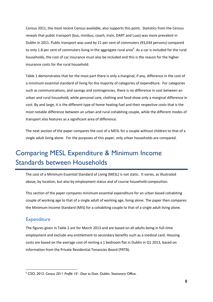Census 2011, the most recent Census available, also supports this point. Statistics from the Census reveals that public transport (bus, minibus, coach, train, DART and Luas) was more prevalent in Dublin in 2011. Public transport was used by 21 per cent of commuters (93,034 persons) compared to only 1.8 per cent of commuters living in the aggregate rural area $^9$ . As a car is included for the rural households, the cost of car insurance must also be included and this is the reason for the higher insurance costs for the rural household.

Table 1 demonstrates that for the most part there is only a marginal, if any, difference in the cost of a minimum essential standard of living for the majority of categories of expenditure. For categories such as communications, and savings and contingencies, there is no difference in cost between an urban and rural household, while personal care, clothing and food show only a marginal difference in cost. By and large, it is the different type of home heating fuel and their respective costs that is the most notable difference between an urban and rural cohabiting couple, while the different modes of transport also features as a significant area of difference.

The next section of the paper compares the cost of a MESL for a couple without children to that of a single adult living alone. For the purposes of this paper, only urban households are compared.

# Comparing MESL Expenditure & Minimum Income Standards between Households

The cost of a Minimum Essential Standard of Living (MESL) is not static. It varies, as illustrated above, by location, but also by employment status and of course household composition.

This section of the paper compares minimum essential expenditure for an urban based cohabiting couple of working age to that of a single adult of working age, living alone. The paper then compares the Minimum Income Standard (MIS) for a cohabiting couple to that of a single adult living alone.

## **Expenditure**

<u>.</u>

The figures given in Table 2 are for March 2013 and are based on all adults being in full-time employment and exclude any entitlement to secondary benefits such as a medical card. Housing costs are based on the average cost of renting a 1 bedroom flat in Dublin in Q1 2013, based on information from the Private Residential Tenancies Board (PRTB).

<sup>9</sup> CSO, 2012. *Census 2011 Profile 10 - Door to Door.* Dublin: Stationary Office.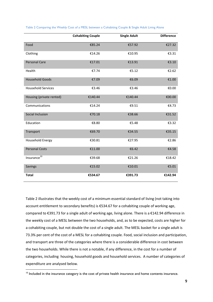|                           | <b>Cohabiting Couple</b> | <b>Single Adult</b> | <b>Difference</b> |
|---------------------------|--------------------------|---------------------|-------------------|
| Food                      | €85.24                   | €57.92              | €27.32            |
| Clothing                  | €14.26                   | €10.95              | €3.31             |
| <b>Personal Care</b>      | €17.01                   | €13.91              | €3.10             |
| Health                    | €7.74                    | €5.12               | €2.62             |
| <b>Household Goods</b>    | €7.09                    | €6.09               | €1.00             |
| <b>Household Services</b> | €3.46                    | €3.46               | €0.00             |
| Housing (private rented)  | €140.44                  | €140.44             | €00.00            |
| Communications            | €14.24                   | €9.51               | €4.73             |
| Social Inclusion          | €70.18                   | €38.66              | €31.52            |
| Education                 | €8.80                    | €5.48               | €3.32             |
| Transport                 | €69.70                   | €34.55              | €35.15            |
| <b>Household Energy</b>   | €30.81                   | €27.95              | €2.86             |
| <b>Personal Costs</b>     | €11.00                   | €6.42               | €4.58             |
| $In surface10$            | €39.68                   | €21.26              | €18.42            |
| Savings                   | €15.02                   | €10.01              | €5.01             |
| <b>Total</b>              | €534.67                  | €391.73             | €142.94           |

#### Table 2 Comparing the Weekly Cost of a MESL between a Cohabiting Couple & Single Adult Living Alone

Table 2 illustrates that the weekly cost of a minimum essential standard of living (not taking into account entitlement to secondary benefits) is €534.67 for a cohabiting couple of working age, compared to €391.73 for a single adult of working age, living alone. There is a €142.94 difference in the weekly cost of a MESL between the two households, and, as to be expected, costs are higher for a cohabiting couple, but not double the cost of a single adult. The MESL basket for a single adult is 73.3% per cent of the cost of a MESL for a cohabiting couple. Food, social inclusion and participation, and transport are three of the categories where there is a considerable difference in cost between the two households. While there is not a notable, if any difference, in the cost for a number of categories, including housing, household goods and household services. A number of categories of expenditure are analysed below.

<u>.</u>

<sup>&</sup>lt;sup>10</sup> Included in the insurance category is the cost of private health insurance and home contents insurance.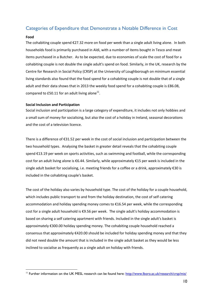## Categories of Expenditure that Demonstrate a Notable Difference in Cost

#### **Food**

<u>.</u>

The cohabiting couple spend €27.32 more on food per week than a single adult living alone. In both households food is primarily purchased in Aldi, with a number of items bought in Tesco and meat items purchased in a Butcher. As to be expected, due to economies of scale the cost of food for a cohabiting couple is not double the single adult's spend on food. Similarly, in the UK, research by the Centre for Research in Social Policy (CRSP) at the University of Loughborough on minimum essential living standards also found that the food spend for a cohabiting couple is not double that of a single adult and their data shows that in 2013 the weekly food spend for a cohabiting couple is £86.08, compared to £50.11 for an adult living alone<sup>11</sup>.

#### **Social Inclusion and Participation**

Social inclusion and participation is a large category of expenditure, it includes not only hobbies and a small sum of money for socialising, but also the cost of a holiday in Ireland, seasonal decorations and the cost of a television licence.

There is a difference of €31.52 per week in the cost of social inclusion and participation between the two household types. Analysing the basket in greater detail reveals that the cohabiting couple spend €13.19 per week on sports activities, such as swimming and football, while the corresponding cost for an adult living alone is €6.44. Similarly, while approximately €15 per week is included in the single adult basket for socialising, i.e. meeting friends for a coffee or a drink, approximately €30 is included in the cohabiting couple's basket.

The cost of the holiday also varies by household type. The cost of the holiday for a couple household, which includes public transport to and from the holiday destination, the cost of self catering accommodation and holiday spending money comes to €16.54 per week, while the corresponding cost for a single adult household is €9.56 per week. The single adult's holiday accommodation is based on sharing a self catering apartment with friends. Included in the single adult's basket is approximately €300.00 holiday spending money. The cohabiting couple household reached a consensus that approximately €420.00 should be included for holiday spending money and that they did not need double the amount that is included in the single adult basket as they would be less inclined to socialise as frequently as a single adult on holiday with friends.

<sup>&</sup>lt;sup>11</sup> Further information on the UK MESL research can be found here:<http://www.lboro.ac.uk/research/crsp/mis/>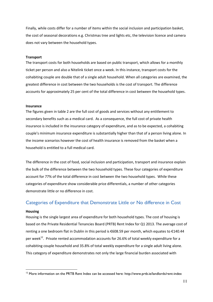Finally, while costs differ for a number of items within the social inclusion and participation basket, the cost of seasonal decorations e.g. Christmas tree and lights etc, the television licence and camera does not vary between the household types.

#### **Transport**

The transport costs for both households are based on public transport, which allows for a monthly ticket per person and also a Nitelink ticket once a week. In this instance, transport costs for the cohabiting couple are double that of a single adult household. When all categories are examined, the greatest difference in cost between the two households is the cost of transport. The difference accounts for approximately 25 per cent of the total difference in cost between the household types.

#### **Insurance**

The figures given in table 2 are the full cost of goods and services without any entitlement to secondary benefits such as a medical card. As a consequence, the full cost of private health insurance is included in the insurance category of expenditure, and as to be expected, a cohabiting couple's minimum insurance expenditure is substantially higher than that of a person living alone. In the income scenarios however the cost of health insurance is removed from the basket when a household is entitled to a full medical card.

The difference in the cost of food, social inclusion and participation, transport and insurance explain the bulk of the difference between the two household types. These four categories of expenditure account for 77% of the total difference in cost between the two household types. While these categories of expenditure show considerable price differentials, a number of other categories demonstrate little or no difference in cost.

### Categories of Expenditure that Demonstrate Little or No difference in Cost

#### **Housing**

<u>.</u>

Housing is the single largest area of expenditure for both household types. The cost of housing is based on the Private Residential Tenancies Board (PRTB) Rent Index for Q1 2013. The average cost of renting a one bedroom flat in Dublin in this period is €608.59 per month, which equates to €140.44 per week<sup>12</sup>. Private rented accommodation accounts for 26.6% of total weekly expenditure for a cohabiting couple household and 35.8% of total weekly expenditure for a single adult living alone. This category of expenditure demonstrates not only the large financial burden associated with

<sup>&</sup>lt;sup>12</sup> More information on the PRTB Rent Index can be accessed here: http://www.prtb.ie/landlords/rent-index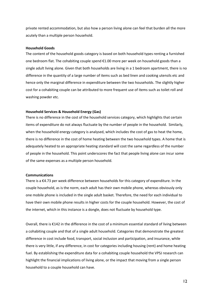private rented accommodation, but also how a person living alone can feel that burden all the more acutely than a multiple person household.

#### **Household Goods**

The content of the household goods category is based on both household types renting a furnished one bedroom flat. The cohabiting couple spend  $\epsilon$ 1.00 more per week on household goods than a single adult living alone. Given that both households are living in a 1 bedroom apartment, there is no difference in the quantity of a large number of items such as bed linen and cooking utensils etc and hence only the marginal difference in expenditure between the two households. The slightly higher cost for a cohabiting couple can be attributed to more frequent use of items such as toilet roll and washing powder etc.

#### **Household Services & Household Energy (Gas)**

There is no difference in the cost of the household services category, which highlights that certain items of expenditure do not always fluctuate by the number of people in the household. Similarly, when the household energy category is analysed, which includes the cost of gas to heat the home, there is no difference in the cost of home heating between the two household types. A home that is adequately heated to an appropriate heating standard will cost the same regardless of the number of people in the household. This point underscores the fact that people living alone can incur some of the same expenses as a multiple person household.

#### **Communications**

There is a €4.73 per week difference between households for this category of expenditure. In the couple household, as is the norm, each adult has their own mobile phone, whereas obviously only one mobile phone is included in the single adult basket. Therefore, the need for each individual to have their own mobile phone results in higher costs for the couple household. However, the cost of the internet, which in this instance is a dongle, does not fluctuate by household type.

Overall, there is €142 in the difference in the cost of a minimum essential standard of living between a cohabiting couple and that of a single adult household. Categories that demonstrate the greatest difference in cost include food, transport, social inclusion and participation, and insurance, while there is very little, if any difference, in cost for categories including housing (rent) and home heating fuel. By establishing the expenditure data for a cohabiting couple household the VPSJ research can highlight the financial implications of living alone, or the impact that moving from a single person household to a couple household can have.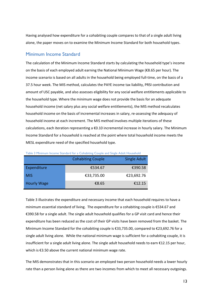Having analysed how expenditure for a cohabiting couple compares to that of a single adult living alone, the paper moves on to examine the Minimum Income Standard for both household types.

## Minimum Income Standard

The calculation of the Minimum Income Standard starts by calculating the household type's income on the basis of each employed adult earning the National Minimum Wage (€8.65 per hour). The income scenario is based on all adults in the household being employed full-time, on the basis of a 37.5 hour week. The MIS method, calculates the PAYE income tax liability, PRSI contribution and amount of USC payable, and also assesses eligibility for any social welfare entitlements applicable to the household type. Where the minimum wage does not provide the basis for an adequate household income (net salary plus any social welfare entitlements), the MIS method recalculates household income on the basis of incremental increases in salary, re-assessing the adequacy of household income at each increment. The MIS method involves multiple iterations of these calculations, each iteration representing a  $\epsilon$ 0.10 incremental increase in hourly salary. The Minimum Income Standard for a household is reached at the point where total household income meets the MESL expenditure need of the specified household type.

|                    | <b>Cohabiting Couple</b> | Single Adult |
|--------------------|--------------------------|--------------|
| Expenditure        | €534.67                  | €390.58      |
| <b>MIS</b>         | €33,735.00               | €23,692.76   |
| <b>Hourly Wage</b> | €8.65                    | €12.15       |

Table 3 Minimum Income Standard for a Cohabiting Couple and Single Adult Household

Table 3 illustrates the expenditure and necessary income that each household requires to have a minimum essential standard of living. The expenditure for a cohabiting couple is €534.67 and €390.58 for a single adult. The single adult household qualifies for a GP visit card and hence their expenditure has been reduced as the cost of their GP visits have been removed from the basket. The Minimum Income Standard for the cohabiting couple is €33,735.00, compared to €23,692.76 for a single adult living alone. While the national minimum wage is sufficient for a cohabiting couple, it is insufficient for a single adult living alone. The single adult household needs to earn €12.15 per hour, which is €3.50 above the current national minimum wage rate.

The MIS demonstrates that in this scenario an employed two person household needs a lower hourly rate than a person living alone as there are two incomes from which to meet all necessary outgoings.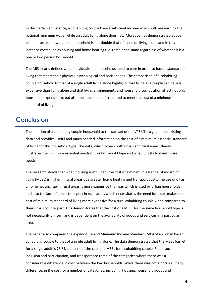In this particular instance, a cohabiting couple have a sufficient income when both are earning the national minimum wage, while an adult living alone does not. Moreover, as demonstrated above, expenditure for a two person household is not double that of a person living alone and in this instance costs such as housing and home heating fuel remain the same regardless of whether it is a one or two person household.

The MIS clearly defines what individuals and households need to earn in order to have a standard of living that meets their physical, psychological and social needs. The comparison of a cohabiting couple household to that of a single adult living alone highlights that living as a couple can be less expensive than living alone and that living arrangements and household composition affect not only household expenditure, but also the income that is required to meet the cost of a minimum standard of living.

# **Conclusion**

The addition of a cohabiting couple household to the dataset of the VPSJ fills a gap in the existing data and provides useful and much needed information on the cost of a minimum essential standard of living for this household type. The data, which covers both urban and rural areas, clearly illustrates the minimum essential needs of this household type and what it costs to meet those needs.

The research shows that when housing is excluded, the cost of a minimum essential standard of living (MESL) is higher in rural areas due greater home heating and transport costs. The use of oil as a home heating fuel in rural areas is more expensive than gas which is used by urban households, and also the lack of public transport in rural areas which necessitates the need for a car, makes the cost of minimum standard of living more expensive for a rural cohabiting couple when compared to their urban counterpart. This demonstrates that the cost of a MESL for the same household type is not necessarily uniform and is dependent on the availability of goods and services in a particular area.

The paper also compared the expenditure and Minimum Income Standard (MIS) of an urban based cohabiting couple to that of a single adult living alone. The data demonstrated that the MESL basket for a single adult is 73.3% per cent of the cost of a MESL for a cohabiting couple. Food, social inclusion and participation, and transport are three of the categories where there was a considerable difference in cost between the two households. While there was not a notable, if any difference, in the cost for a number of categories, including housing, household goods and